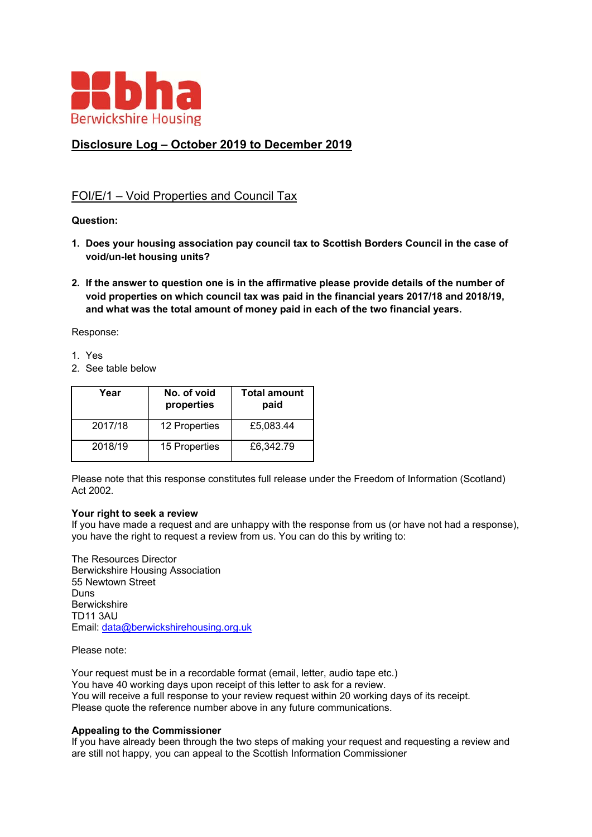

# **Disclosure Log – October 2019 to December 2019**

# FOI/E/1 – Void Properties and Council Tax

## **Question:**

- **1. Does your housing association pay council tax to Scottish Borders Council in the case of void/un-let housing units?**
- **2. If the answer to question one is in the affirmative please provide details of the number of void properties on which council tax was paid in the financial years 2017/18 and 2018/19, and what was the total amount of money paid in each of the two financial years.**

Response:

- 1. Yes
- 2. See table below

| Year    | No. of void<br>properties | <b>Total amount</b><br>paid |
|---------|---------------------------|-----------------------------|
| 2017/18 | 12 Properties             | £5,083.44                   |
| 2018/19 | 15 Properties             | £6,342.79                   |

Please note that this response constitutes full release under the Freedom of Information (Scotland) Act 2002.

#### **Your right to seek a review**

If you have made a request and are unhappy with the response from us (or have not had a response), you have the right to request a review from us. You can do this by writing to:

The Resources Director Berwickshire Housing Association 55 Newtown Street Duns **Berwickshire** TD11 3AU Email: data@berwickshirehousing.org.uk

Please note:

Your request must be in a recordable format (email, letter, audio tape etc.) You have 40 working days upon receipt of this letter to ask for a review. You will receive a full response to your review request within 20 working days of its receipt. Please quote the reference number above in any future communications.

#### **Appealing to the Commissioner**

If you have already been through the two steps of making your request and requesting a review and are still not happy, you can appeal to the Scottish Information Commissioner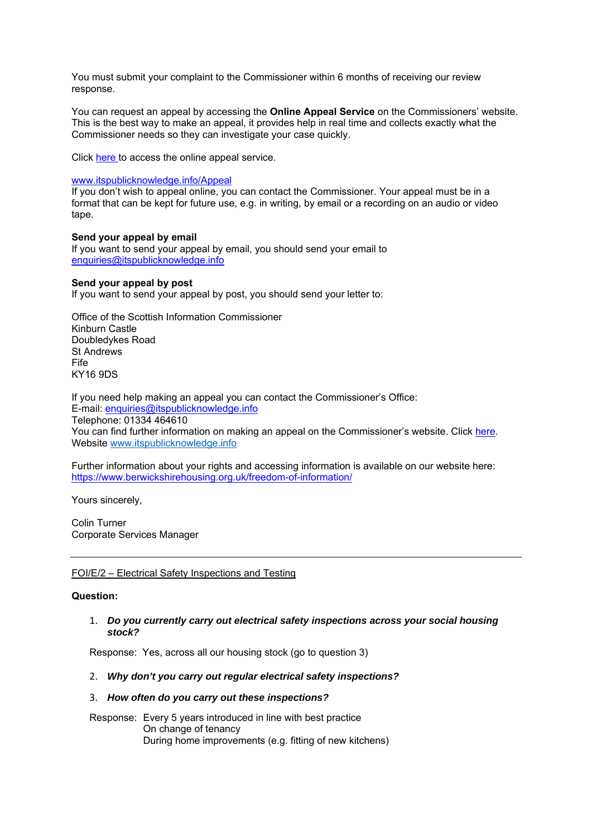You must submit your complaint to the Commissioner within 6 months of receiving our review response.

You can request an appeal by accessing the **Online Appeal Service** on the Commissioners' website. This is the best way to make an appeal, it provides help in real time and collects exactly what the Commissioner needs so they can investigate your case quickly.

Click here to access the online appeal service.

#### www.itspublicknowledge.info/Appeal

If you don't wish to appeal online, you can contact the Commissioner. Your appeal must be in a format that can be kept for future use, e.g. in writing, by email or a recording on an audio or video tape.

## **Send your appeal by email**

If you want to send your appeal by email, you should send your email to enquiries@itspublicknowledge.info

## **Send your appeal by post**

If you want to send your appeal by post, you should send your letter to:

Office of the Scottish Information Commissioner Kinburn Castle Doubledykes Road St Andrews Fife KY16 9DS

If you need help making an appeal you can contact the Commissioner's Office: E-mail: enquiries@itspublicknowledge.info Telephone: 01334 464610 You can find further information on making an appeal on the Commissioner's website. Click here. Website www.itspublicknowledge.info

Further information about your rights and accessing information is available on our website here: https://www.berwickshirehousing.org.uk/freedom-of-information/

Yours sincerely,

Colin Turner Corporate Services Manager

# FOI/E/2 – Electrical Safety Inspections and Testing

#### **Question:**

## 1. *Do you currently carry out electrical safety inspections across your social housing stock?*

Response: Yes, across all our housing stock (go to question 3)

# 2. *Why don't you carry out regular electrical safety inspections?*

# 3. *How often do you carry out these inspections?*

Response: Every 5 years introduced in line with best practice On change of tenancy During home improvements (e.g. fitting of new kitchens)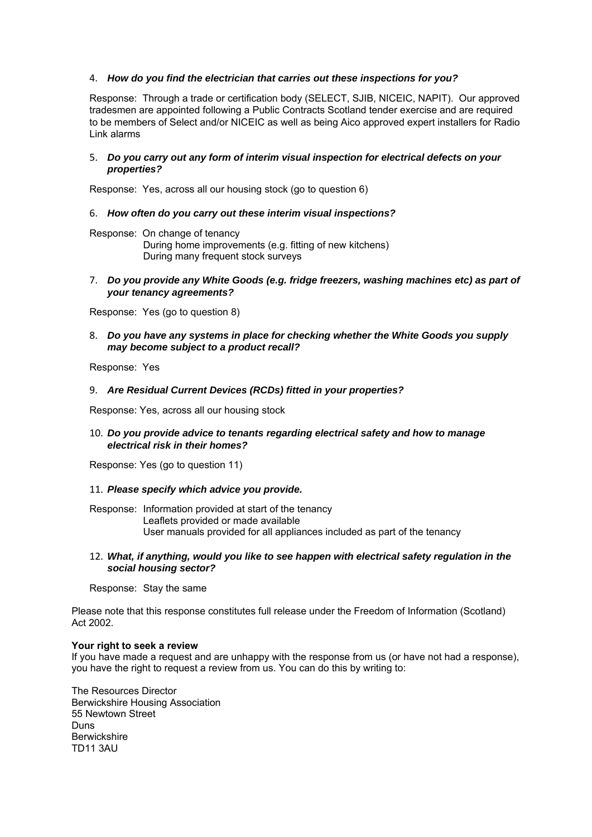## 4. *How do you find the electrician that carries out these inspections for you?*

Response: Through a trade or certification body (SELECT, SJIB, NICEIC, NAPIT). Our approved tradesmen are appointed following a Public Contracts Scotland tender exercise and are required to be members of Select and/or NICEIC as well as being Aico approved expert installers for Radio Link alarms

#### 5. *Do you carry out any form of interim visual inspection for electrical defects on your properties?*

Response: Yes, across all our housing stock (go to question 6)

## 6. *How often do you carry out these interim visual inspections?*

Response: On change of tenancy During home improvements (e.g. fitting of new kitchens) During many frequent stock surveys

#### 7. *Do you provide any White Goods (e.g. fridge freezers, washing machines etc) as part of your tenancy agreements?*

Response: Yes (go to question 8)

## 8. *Do you have any systems in place for checking whether the White Goods you supply may become subject to a product recall?*

Response: Yes

## 9. *Are Residual Current Devices (RCDs) fitted in your properties?*

Response: Yes, across all our housing stock

## 10. *Do you provide advice to tenants regarding electrical safety and how to manage electrical risk in their homes?*

Response: Yes (go to question 11)

#### 11. *Please specify which advice you provide.*

Response: Information provided at start of the tenancy Leaflets provided or made available User manuals provided for all appliances included as part of the tenancy

#### 12. *What, if anything, would you like to see happen with electrical safety regulation in the social housing sector?*

Response: Stay the same

Please note that this response constitutes full release under the Freedom of Information (Scotland) Act 2002.

#### **Your right to seek a review**

If you have made a request and are unhappy with the response from us (or have not had a response), you have the right to request a review from us. You can do this by writing to:

The Resources Director Berwickshire Housing Association 55 Newtown Street Duns Berwickshire TD11 3AU